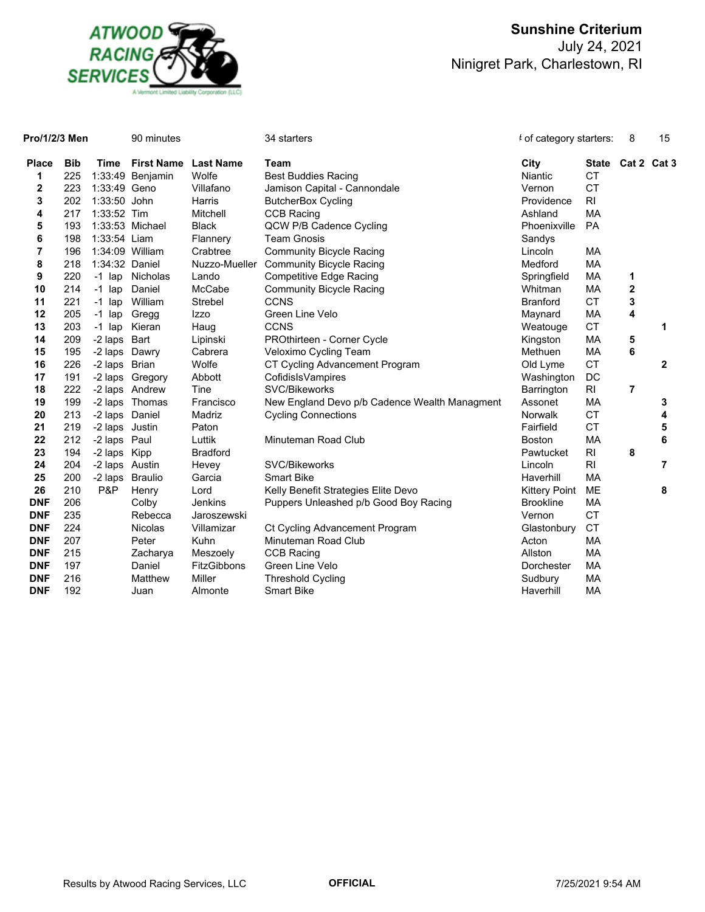

| Pro/1/2/3 Men           |            | 90 minutes     |                   |                  | 34 starters                                   | t of category starters: |                | 8                       | 15             |
|-------------------------|------------|----------------|-------------------|------------------|-----------------------------------------------|-------------------------|----------------|-------------------------|----------------|
| <b>Place</b>            | <b>Bib</b> | Time           | <b>First Name</b> | <b>Last Name</b> | <b>Team</b>                                   | City                    | <b>State</b>   | Cat 2 Cat 3             |                |
| 1                       | 225        |                | 1:33:49 Benjamin  | Wolfe            | <b>Best Buddies Racing</b>                    | Niantic                 | <b>CT</b>      |                         |                |
| $\mathbf 2$             | 223        | 1:33:49 Geno   |                   | Villafano        | Jamison Capital - Cannondale                  | Vernon                  | <b>CT</b>      |                         |                |
| 3                       | 202        | 1:33:50 John   |                   | Harris           | <b>ButcherBox Cycling</b>                     | Providence              | R <sub>l</sub> |                         |                |
| 4                       | 217        | 1:33:52 Tim    |                   | Mitchell         | <b>CCB Racing</b>                             | Ashland                 | <b>MA</b>      |                         |                |
| 5                       | 193        |                | 1:33:53 Michael   | <b>Black</b>     | QCW P/B Cadence Cycling                       | Phoenixville            | <b>PA</b>      |                         |                |
| 6                       | 198        | 1:33:54 Liam   |                   | Flannery         | <b>Team Gnosis</b>                            | Sandys                  |                |                         |                |
| $\overline{\mathbf{r}}$ | 196        |                | 1:34:09 William   | Crabtree         | <b>Community Bicycle Racing</b>               | Lincoln                 | MA             |                         |                |
| 8                       | 218        | 1:34:32 Daniel |                   | Nuzzo-Mueller    | <b>Community Bicycle Racing</b>               | Medford                 | MA             |                         |                |
| 9                       | 220        | $-1$ lap       | Nicholas          | Lando            | <b>Competitive Edge Racing</b>                | Springfield             | MA             | 1                       |                |
| 10                      | 214        | $-1$ lap       | Daniel            | McCabe           | <b>Community Bicycle Racing</b>               | Whitman                 | <b>MA</b>      | $\boldsymbol{2}$        |                |
| 11                      | 221        | $-1$ lap       | William           | <b>Strebel</b>   | <b>CCNS</b>                                   | <b>Branford</b>         | <b>CT</b>      | 3                       |                |
| 12                      | 205        | $-1$ lap       | Gregg             | Izzo             | Green Line Velo                               | Maynard                 | МA             | $\overline{\mathbf{4}}$ |                |
| 13                      | 203        | $-1$ lap       | Kieran            | Haug             | <b>CCNS</b>                                   | Weatouge                | <b>CT</b>      |                         | 1              |
| 14                      | 209        | -2 laps Bart   |                   | Lipinski         | PROthirteen - Corner Cycle                    | Kingston                | MA             | 5                       |                |
| 15                      | 195        | -2 laps Dawry  |                   | Cabrera          | Veloximo Cycling Team                         | Methuen                 | МA             | 6                       |                |
| 16                      | 226        | -2 laps Brian  |                   | Wolfe            | CT Cycling Advancement Program                | Old Lyme                | <b>CT</b>      |                         | $\mathbf{2}$   |
| 17                      | 191        |                | -2 laps Gregory   | Abbott           | CofidisIsVampires                             | Washington              | DC             |                         |                |
| 18                      | 222        |                | -2 laps Andrew    | Tine             | SVC/Bikeworks                                 | Barrington              | RI             | $\overline{7}$          |                |
| 19                      | 199        |                | -2 laps Thomas    | Francisco        | New England Devo p/b Cadence Wealth Managment | Assonet                 | МA             |                         | 3              |
| 20                      | 213        | -2 laps Daniel |                   | Madriz           | <b>Cycling Connections</b>                    | <b>Norwalk</b>          | <b>CT</b>      |                         | 4              |
| 21                      | 219        | -2 laps Justin |                   | Paton            |                                               | Fairfield               | <b>CT</b>      |                         | 5              |
| 22                      | 212        | -2 laps Paul   |                   | Luttik           | Minuteman Road Club                           | <b>Boston</b>           | MA             |                         | 6              |
| 23                      | 194        | -2 laps Kipp   |                   | <b>Bradford</b>  |                                               | Pawtucket               | R <sub>l</sub> | 8                       |                |
| 24                      | 204        | -2 laps Austin |                   | Hevey            | SVC/Bikeworks                                 | Lincoln                 | R <sub>l</sub> |                         | $\overline{7}$ |
| 25                      | 200        |                | -2 laps Braulio   | Garcia           | <b>Smart Bike</b>                             | Haverhill               | <b>MA</b>      |                         |                |
| 26                      | 210        | P&P            | Henry             | Lord             | Kelly Benefit Strategies Elite Devo           | <b>Kittery Point</b>    | <b>ME</b>      |                         | 8              |
| <b>DNF</b>              | 206        |                | Colby             | Jenkins          | Puppers Unleashed p/b Good Boy Racing         | <b>Brookline</b>        | MA             |                         |                |
| <b>DNF</b>              | 235        |                | Rebecca           | Jaroszewski      |                                               | Vernon                  | <b>CT</b>      |                         |                |
| <b>DNF</b>              | 224        |                | <b>Nicolas</b>    | Villamizar       | Ct Cycling Advancement Program                | Glastonbury             | <b>CT</b>      |                         |                |
| <b>DNF</b>              | 207        |                | Peter             | Kuhn             | Minuteman Road Club                           | Acton                   | MA             |                         |                |
| <b>DNF</b>              | 215        |                | Zacharya          | Meszoely         | <b>CCB Racing</b>                             | Allston                 | МA             |                         |                |
| <b>DNF</b>              | 197        |                | Daniel            | FitzGibbons      | Green Line Velo                               | Dorchester              | МA             |                         |                |
| <b>DNF</b>              | 216        |                | Matthew           | Miller           | <b>Threshold Cycling</b>                      | Sudbury                 | MA             |                         |                |
| <b>DNF</b>              | 192        |                | Juan              | Almonte          | <b>Smart Bike</b>                             | Haverhill               | MA             |                         |                |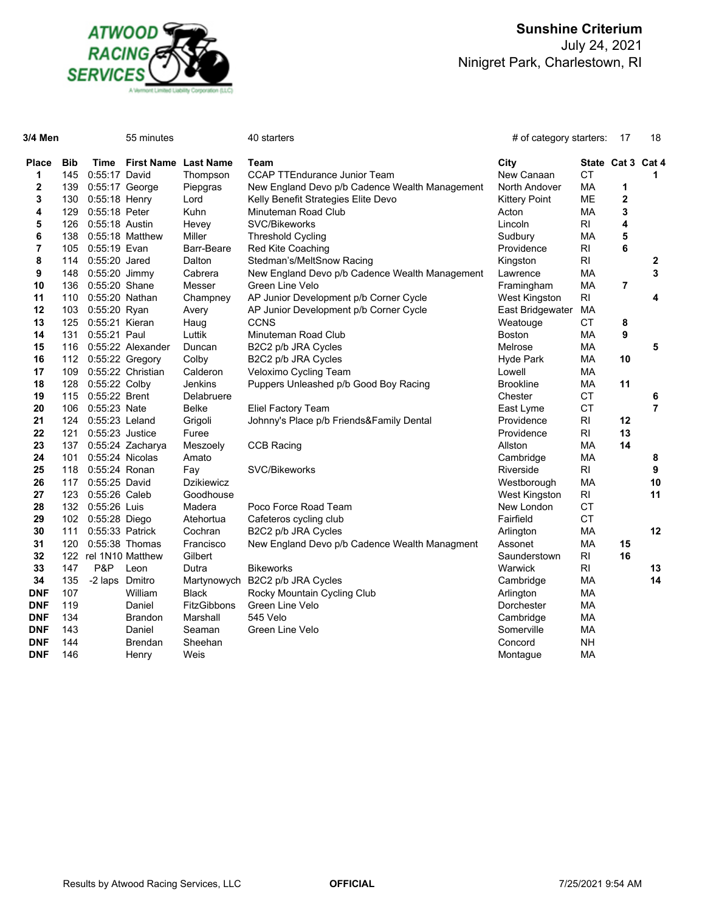

| 3/4 Men           |                   |                       | 55 minutes                  |                   | 40 starters                                    | # of category starters: |                   | -17 | 18             |
|-------------------|-------------------|-----------------------|-----------------------------|-------------------|------------------------------------------------|-------------------------|-------------------|-----|----------------|
| <b>Place</b><br>1 | <b>Bib</b><br>145 | Time<br>0:55:17 David | <b>First Name Last Name</b> | Thompson          | Team<br><b>CCAP TTEndurance Junior Team</b>    | City<br>New Canaan      | State Cat 3<br>СT |     | Cat 4<br>1     |
| $\mathbf 2$       | 139               | $0:55:17$ George      |                             | Piepgras          | New England Devo p/b Cadence Wealth Management | North Andover           | МA                | 1   |                |
| 3                 | 130               | $0:55:18$ Henry       |                             | Lord              | Kelly Benefit Strategies Elite Devo            | <b>Kittery Point</b>    | ME                | 2   |                |
| 4                 | 129               | 0:55:18 Peter         |                             | <b>Kuhn</b>       | Minuteman Road Club                            | Acton                   | МA                | 3   |                |
| 5                 | 126               | 0:55:18 Austin        |                             | Hevey             | SVC/Bikeworks                                  | Lincoln                 | R <sub>l</sub>    | 4   |                |
| 6                 | 138               |                       | $0:55:18$ Matthew           | Miller            | <b>Threshold Cycling</b>                       | Sudbury                 | MA                | 5   |                |
| 7                 | 105               | 0:55:19 Evan          |                             | Barr-Beare        | <b>Red Kite Coaching</b>                       | Providence              | R <sub>l</sub>    | 6   |                |
| 8                 | 114               | 0:55:20 Jared         |                             | Dalton            | Stedman's/MeltSnow Racing                      | Kingston                | R <sub>l</sub>    |     | 2              |
| 9                 | 148               | 0:55:20 Jimmy         |                             | Cabrera           | New England Devo p/b Cadence Wealth Management | Lawrence                | MA                |     | 3              |
| 10                | 136               | 0:55:20 Shane         |                             | Messer            | Green Line Velo                                | Framingham              | МA                | 7   |                |
| 11                | 110               | 0:55:20 Nathan        |                             | Champney          | AP Junior Development p/b Corner Cycle         | West Kingston           | R <sub>l</sub>    |     | 4              |
| 12                | 103               | 0:55:20 Ryan          |                             | Avery             | AP Junior Development p/b Corner Cycle         | East Bridgewater        | МA                |     |                |
| 13                | 125               | 0:55:21 Kieran        |                             | Haug              | <b>CCNS</b>                                    | Weatouge                | CT.               | 8   |                |
| 14                | 131               | 0:55:21 Paul          |                             | Luttik            | Minuteman Road Club                            | <b>Boston</b>           | МA                | 9   |                |
| 15                | 116               |                       | 0:55:22 Alexander           | Duncan            | B2C2 p/b JRA Cycles                            | Melrose                 | MA                |     | 5              |
| 16                | 112               |                       | $0:55:22$ Gregory           | Colby             | B2C2 p/b JRA Cycles                            | Hyde Park               | МA                | 10  |                |
| 17                | 109               |                       | 0:55:22 Christian           | Calderon          | Veloximo Cycling Team                          | Lowell                  | МA                |     |                |
| 18                | 128               | 0:55:22 Colby         |                             | Jenkins           | Puppers Unleashed p/b Good Boy Racing          | <b>Brookline</b>        | MA                | 11  |                |
| 19                | 115               | 0:55:22 Brent         |                             | Delabruere        |                                                | Chester                 | <b>CT</b>         |     | 6              |
| 20                | 106               | 0:55:23 Nate          |                             | Belke             | Eliel Factory Team                             | East Lyme               | <b>CT</b>         |     | $\overline{7}$ |
| 21                | 124               | 0:55:23 Leland        |                             | Grigoli           | Johnny's Place p/b Friends&Family Dental       | Providence              | R <sub>l</sub>    | 12  |                |
| 22                | 121               | $0:55:23$ Justice     |                             | Furee             |                                                | Providence              | R <sub>l</sub>    | 13  |                |
| 23                | 137               |                       | 0:55:24 Zacharya            | Meszoely          | <b>CCB Racing</b>                              | Allston                 | MA                | 14  |                |
| 24                | 101               | 0:55:24 Nicolas       |                             | Amato             |                                                | Cambridge               | MA                |     | 8              |
| 25                | 118               | 0:55:24 Ronan         |                             | Fay               | <b>SVC/Bikeworks</b>                           | Riverside               | $\mathsf{RI}$     |     | 9              |
| 26                | 117               | 0:55:25 David         |                             | <b>Dzikiewicz</b> |                                                | Westborough             | МA                |     | 10             |
| 27                | 123               | 0:55:26 Caleb         |                             | Goodhouse         |                                                | West Kingston           | RI                |     | 11             |
| 28                | 132               | 0:55:26 Luis          |                             | Madera            | Poco Force Road Team                           | New London              | <b>CT</b>         |     |                |
| 29                | 102               | 0:55:28 Diego         |                             | Atehortua         | Cafeteros cycling club                         | Fairfield               | <b>CT</b>         |     |                |
| 30                | 111               | 0:55:33 Patrick       |                             | Cochran           | B2C2 p/b JRA Cycles                            | Arlington               | МA                |     | 12             |
| 31                | 120               |                       | $0:55:38$ Thomas            | Francisco         | New England Devo p/b Cadence Wealth Managment  | Assonet                 | МA                | 15  |                |
| 32                |                   |                       | 122 rel 1N10 Matthew        | Gilbert           |                                                | Saunderstown            | R <sub>l</sub>    | 16  |                |
| 33                | 147               | P&P                   | Leon                        | Dutra             | <b>Bikeworks</b>                               | Warwick                 | R <sub>l</sub>    |     | 13             |
| 34                | 135               | -2 laps Dmitro        |                             | Martynowych       | B2C2 p/b JRA Cycles                            | Cambridge               | МA                |     | 14             |
| <b>DNF</b>        | 107               |                       | William                     | Black             | Rocky Mountain Cycling Club                    | Arlington               | MA                |     |                |
| <b>DNF</b>        | 119               |                       | Daniel                      | FitzGibbons       | Green Line Velo                                | Dorchester              | МA                |     |                |
| <b>DNF</b>        | 134               |                       | <b>Brandon</b>              | Marshall          | 545 Velo                                       | Cambridge               | МA                |     |                |
| <b>DNF</b>        | 143               |                       | Daniel                      | Seaman            | Green Line Velo                                | Somerville              | МA                |     |                |
| <b>DNF</b>        | 144               |                       | <b>Brendan</b>              | Sheehan           |                                                | Concord                 | NΗ                |     |                |
| <b>DNF</b>        | 146               |                       | Henry                       | Weis              |                                                | Montague                | МA                |     |                |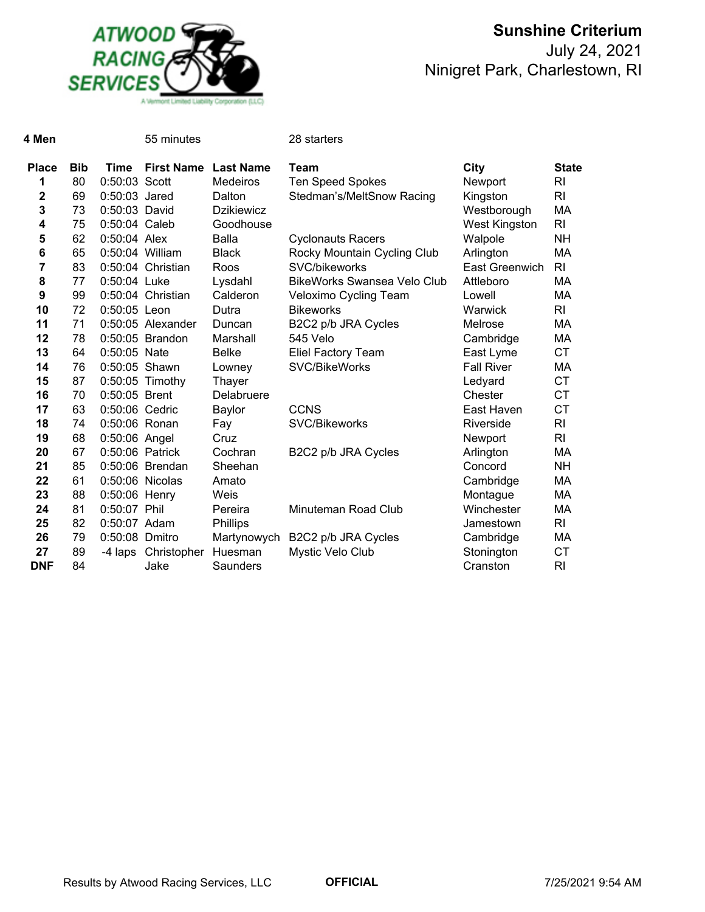

## **Sunshine Criterium** July 24, 2021

Ninigret Park, Charlestown, RI

| 4 Men        |            |                 | 55 minutes          |                   | 28 starters                        |                      |                |
|--------------|------------|-----------------|---------------------|-------------------|------------------------------------|----------------------|----------------|
| <b>Place</b> | <b>Bib</b> | Time            | <b>First Name</b>   | <b>Last Name</b>  | <b>Team</b>                        | City                 | <b>State</b>   |
| 1            | 80         | 0:50:03 Scott   |                     | <b>Medeiros</b>   | <b>Ten Speed Spokes</b>            | Newport              | RI             |
| 2            | 69         | 0:50:03 Jared   |                     | Dalton            | Stedman's/MeltSnow Racing          | Kingston             | R <sub>l</sub> |
| 3            | 73         | 0:50:03 David   |                     | <b>Dzikiewicz</b> |                                    | Westborough          | MA             |
| 4            | 75         | 0:50:04 Caleb   |                     | Goodhouse         |                                    | <b>West Kingston</b> | R <sub>l</sub> |
| 5            | 62         | 0:50:04 Alex    |                     | Balla             | <b>Cyclonauts Racers</b>           | Walpole              | <b>NH</b>      |
| 6            | 65         | 0:50:04 William |                     | <b>Black</b>      | Rocky Mountain Cycling Club        | Arlington            | MA             |
| 7            | 83         |                 | 0:50:04 Christian   | Roos              | <b>SVC/bikeworks</b>               | East Greenwich       | RI             |
| 8            | 77         | 0:50:04 Luke    |                     | Lysdahl           | <b>BikeWorks Swansea Velo Club</b> | Attleboro            | МA             |
| 9            | 99         |                 | 0:50:04 Christian   | Calderon          | Veloximo Cycling Team              | Lowell               | MA             |
| 10           | 72         | 0:50:05 Leon    |                     | Dutra             | <b>Bikeworks</b>                   | Warwick              | R <sub>l</sub> |
| 11           | 71         |                 | $0:50:05$ Alexander | Duncan            | B2C2 p/b JRA Cycles                | Melrose              | MA             |
| 12           | 78         |                 | 0:50:05 Brandon     | Marshall          | 545 Velo                           | Cambridge            | МA             |
| 13           | 64         | 0:50:05 Nate    |                     | <b>Belke</b>      | <b>Eliel Factory Team</b>          | East Lyme            | <b>CT</b>      |
| 14           | 76         | 0:50:05 Shawn   |                     | Lowney            | <b>SVC/BikeWorks</b>               | <b>Fall River</b>    | МA             |
| 15           | 87         |                 | 0:50:05 Timothy     | Thayer            |                                    | Ledyard              | <b>CT</b>      |
| 16           | 70         | 0:50:05 Brent   |                     | Delabruere        |                                    | Chester              | <b>CT</b>      |
| 17           | 63         | 0:50:06 Cedric  |                     | Baylor            | <b>CCNS</b>                        | East Haven           | <b>CT</b>      |
| 18           | 74         | 0:50:06 Ronan   |                     | Fay               | SVC/Bikeworks                      | Riverside            | R <sub>l</sub> |
| 19           | 68         | 0:50:06 Angel   |                     | Cruz              |                                    | Newport              | R <sub>l</sub> |
| 20           | 67         | 0:50:06 Patrick |                     | Cochran           | B2C2 p/b JRA Cycles                | Arlington            | MA             |
| 21           | 85         |                 | 0:50:06 Brendan     | Sheehan           |                                    | Concord              | <b>NH</b>      |
| 22           | 61         |                 | 0:50:06 Nicolas     | Amato             |                                    | Cambridge            | МA             |
| 23           | 88         | 0:50:06 Henry   |                     | Weis              |                                    | Montague             | MA             |
| 24           | 81         | 0:50:07 Phil    |                     | Pereira           | Minuteman Road Club                | Winchester           | MA             |
| 25           | 82         | 0:50:07 Adam    |                     | <b>Phillips</b>   |                                    | Jamestown            | R <sub>l</sub> |
| 26           | 79         | 0:50:08 Dmitro  |                     | Martynowych       | B2C2 p/b JRA Cycles                | Cambridge            | МA             |
| 27           | 89         | -4 laps         | Christopher         | Huesman           | Mystic Velo Club                   | Stonington           | <b>CT</b>      |
| <b>DNF</b>   | 84         |                 | Jake                | Saunders          |                                    | Cranston             | R <sub>l</sub> |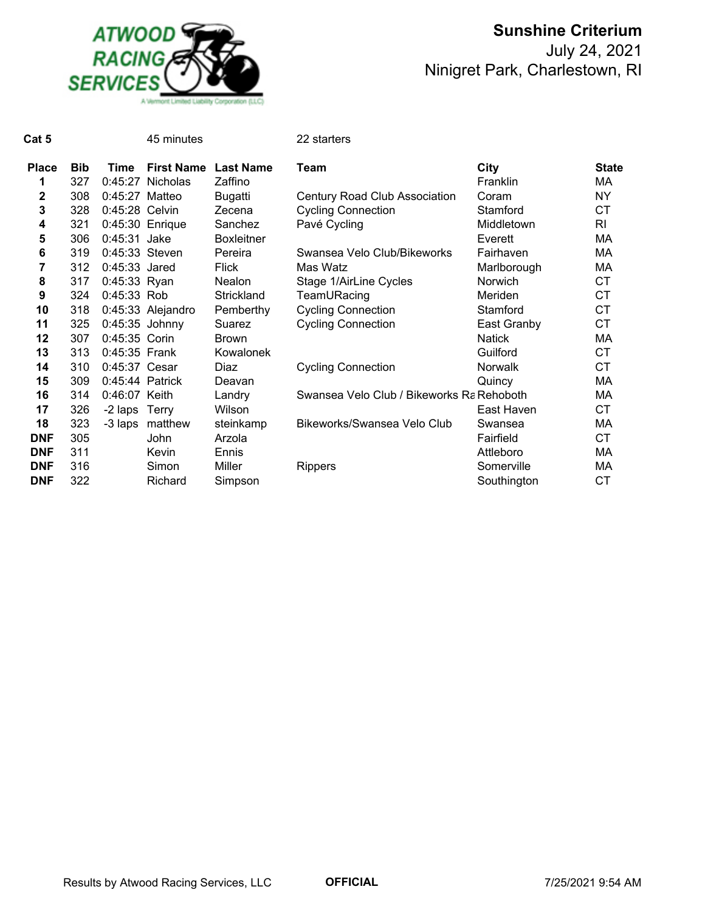

| Cat 5          |            |                  | 45 minutes        |                   | 22 starters                               |                |              |
|----------------|------------|------------------|-------------------|-------------------|-------------------------------------------|----------------|--------------|
| <b>Place</b>   | <b>Bib</b> | Time             | <b>First Name</b> | <b>Last Name</b>  | Team                                      | City           | <b>State</b> |
| 1              | 327        |                  | 0:45:27 Nicholas  | Zaffino           |                                           | Franklin       | МA           |
| $\mathbf 2$    | 308        | $0:45:27$ Matteo |                   | <b>Bugatti</b>    | <b>Century Road Club Association</b>      | Coram          | <b>NY</b>    |
| 3              | 328        | 0:45:28 Celvin   |                   | Zecena            | <b>Cycling Connection</b>                 | Stamford       | <b>CT</b>    |
| 4              | 321        |                  | $0:45:30$ Enrique | Sanchez           | Pavé Cycling                              | Middletown     | RI           |
| 5              | 306        | 0:45:31 Jake     |                   | <b>Boxleitner</b> |                                           | Everett        | МA           |
| 6              | 319        | 0:45:33 Steven   |                   | Pereira           | Swansea Velo Club/Bikeworks               | Fairhaven      | МA           |
| $\overline{7}$ | 312        | $0:45:33$ Jared  |                   | <b>Flick</b>      | Mas Watz                                  | Marlborough    | MA           |
| 8              | 317        | 0:45:33 Ryan     |                   | Nealon            | Stage 1/AirLine Cycles                    | <b>Norwich</b> | <b>CT</b>    |
| 9              | 324        | $0:45:33$ Rob    |                   | Strickland        | TeamURacing                               | Meriden        | <b>CT</b>    |
| 10             | 318        |                  | 0:45:33 Alejandro | Pemberthy         | <b>Cycling Connection</b>                 | Stamford       | <b>CT</b>    |
| 11             | 325        | $0:45:35$ Johnny |                   | Suarez            | <b>Cycling Connection</b>                 | East Granby    | <b>CT</b>    |
| 12             | 307        | 0:45:35 Corin    |                   | <b>Brown</b>      |                                           | <b>Natick</b>  | МA           |
| 13             | 313        | 0:45:35 Frank    |                   | Kowalonek         |                                           | Guilford       | <b>CT</b>    |
| 14             | 310        | 0:45:37 Cesar    |                   | Diaz              | <b>Cycling Connection</b>                 | Norwalk        | <b>CT</b>    |
| 15             | 309        | 0:45:44 Patrick  |                   | Deavan            |                                           | Quincy         | MA           |
| 16             | 314        | 0:46:07 Keith    |                   | Landry            | Swansea Velo Club / Bikeworks Ra Rehoboth |                | МA           |
| 17             | 326        | -2 laps Terry    |                   | Wilson            |                                           | East Haven     | <b>CT</b>    |
| 18             | 323        | -3 laps          | matthew           | steinkamp         | Bikeworks/Swansea Velo Club               | Swansea        | МA           |
| <b>DNF</b>     | 305        |                  | John              | Arzola            |                                           | Fairfield      | <b>CT</b>    |
| <b>DNF</b>     | 311        |                  | Kevin             | Ennis             |                                           | Attleboro      | МA           |
| <b>DNF</b>     | 316        |                  | Simon             | Miller            | <b>Rippers</b>                            | Somerville     | МA           |
| <b>DNF</b>     | 322        |                  | Richard           | Simpson           |                                           | Southington    | <b>CT</b>    |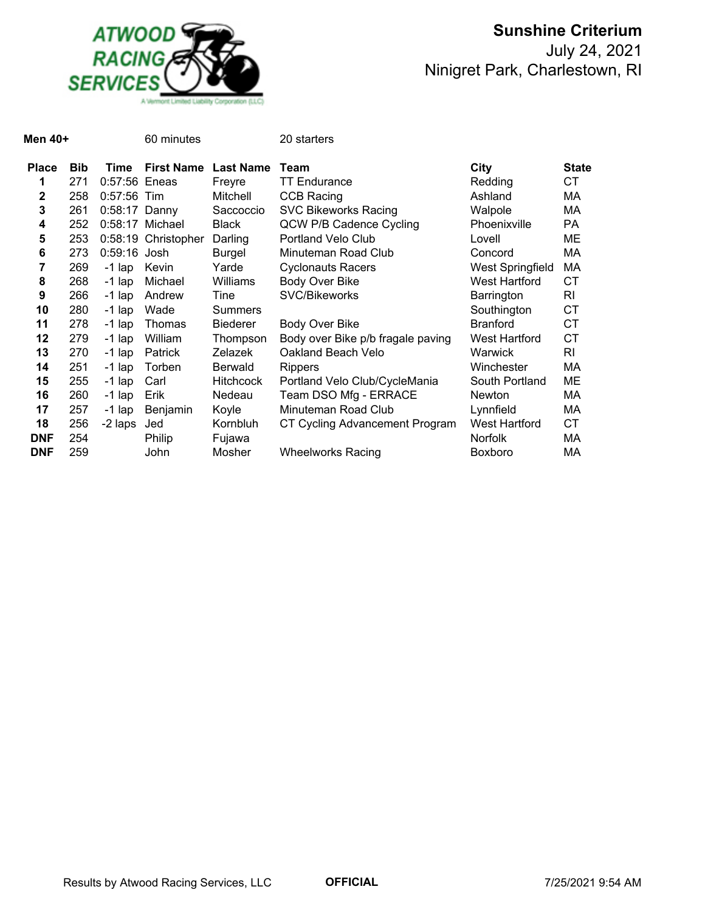

| Men 40+         |            |                 | 60 minutes          |                  | 20 starters                       |                      |                |
|-----------------|------------|-----------------|---------------------|------------------|-----------------------------------|----------------------|----------------|
| <b>Place</b>    | <b>Bib</b> | Time            | <b>First Name</b>   | <b>Last Name</b> | Team                              | City                 | <b>State</b>   |
| 1               | 271        | $0.57:56$ Eneas |                     | Freyre           | TT Endurance                      | Redding              | СT             |
| 2               | 258        | $0.57:56$ Tim   |                     | Mitchell         | CCB Racing                        | Ashland              | МA             |
| 3               | 261        | $0:58:17$ Danny |                     | Saccoccio        | <b>SVC Bikeworks Racing</b>       | Walpole              | МA             |
| 4               | 252        |                 | 0:58:17 Michael     | <b>Black</b>     | QCW P/B Cadence Cycling           | Phoenixville         | <b>PA</b>      |
| 5               | 253        |                 | 0:58:19 Christopher | Darling          | Portland Velo Club                | Lovell               | ME             |
| $6\phantom{1}6$ | 273        | 0:59:16 Josh    |                     | Burgel           | Minuteman Road Club               | Concord              | МA             |
| 7               | 269        | $-1$ lap        | Kevin               | Yarde            | <b>Cyclonauts Racers</b>          | West Springfield     | МA             |
| 8               | 268        | $-1$ lap        | Michael             | Williams         | Body Over Bike                    | West Hartford        | <b>CT</b>      |
| 9               | 266        | $-1$ lap        | Andrew              | Tine             | SVC/Bikeworks                     | Barrington           | RI             |
| 10              | 280        | $-1$ lap        | Wade                | Summers          |                                   | Southington          | <b>CT</b>      |
| 11              | 278        | $-1$ lap        | Thomas              | <b>Biederer</b>  | Body Over Bike                    | <b>Branford</b>      | <b>CT</b>      |
| 12              | 279        | $-1$ lap        | William             | Thompson         | Body over Bike p/b fragale paving | West Hartford        | <b>CT</b>      |
| 13              | 270        | $-1$ lap        | Patrick             | Zelazek          | Oakland Beach Velo                | Warwick              | R <sub>l</sub> |
| 14              | 251        | $-1$ lap        | Torben              | <b>Berwald</b>   | Rippers                           | Winchester           | МA             |
| 15              | 255        | $-1$ lap        | Carl                | <b>Hitchcock</b> | Portland Velo Club/CycleMania     | South Portland       | ME             |
| 16              | 260        | $-1$ lap        | Erik                | Nedeau           | Team DSO Mfg - ERRACE             | Newton               | МA             |
| 17              | 257        | $-1$ lap        | Benjamin            | Koyle            | Minuteman Road Club               | Lynnfield            | МA             |
| 18              | 256        | -2 laps         | Jed                 | Kornbluh         | CT Cycling Advancement Program    | <b>West Hartford</b> | <b>CT</b>      |
| <b>DNF</b>      | 254        |                 | Philip              | Fujawa           |                                   | Norfolk              | МA             |
| <b>DNF</b>      | 259        |                 | John                | Mosher           | <b>Wheelworks Racing</b>          | <b>Boxboro</b>       | МA             |
|                 |            |                 |                     |                  |                                   |                      |                |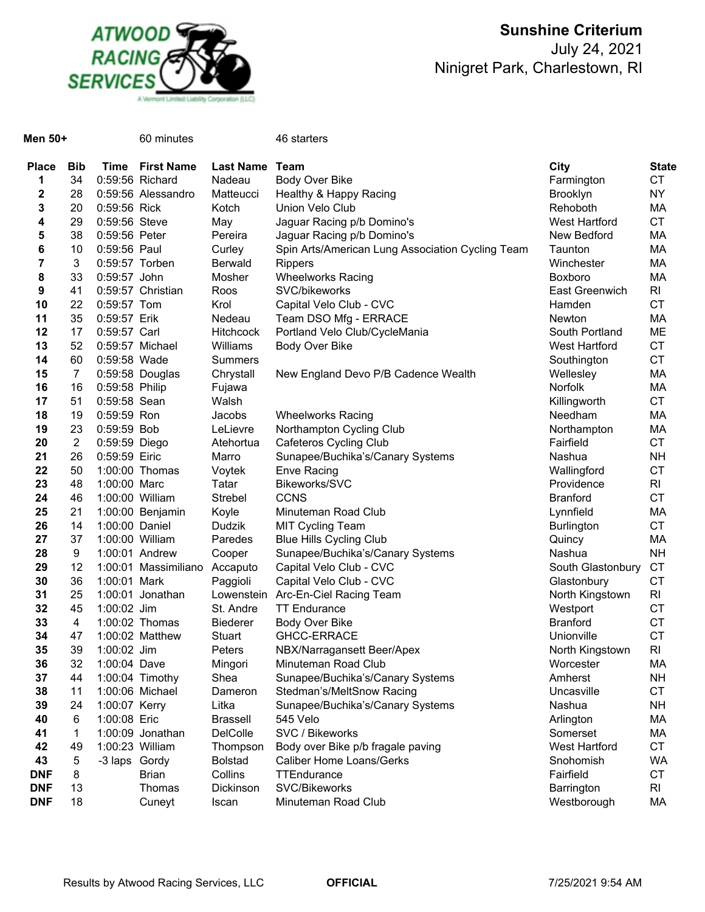

# **Sunshine Criterium** July 24, 2021

Ninigret Park, Charlestown, RI

| Men 50+      |                |                                | 60 minutes           |                  | 46 starters                                      |                                |                 |
|--------------|----------------|--------------------------------|----------------------|------------------|--------------------------------------------------|--------------------------------|-----------------|
| <b>Place</b> | <b>Bib</b>     | Time                           | <b>First Name</b>    | <b>Last Name</b> | Team                                             | City                           | <b>State</b>    |
| 1            | 34             |                                | 0:59:56 Richard      | Nadeau           | Body Over Bike                                   | Farmington                     | CT              |
| 2            | 28             |                                | 0:59:56 Alessandro   | Matteucci        | Healthy & Happy Racing                           | <b>Brooklyn</b>                | NY              |
| 3            | 20             | 0:59:56 Rick                   |                      | Kotch            | Union Velo Club                                  | Rehoboth                       | MA              |
| 4            | 29             | 0:59:56 Steve                  |                      | May              | Jaguar Racing p/b Domino's                       | <b>West Hartford</b>           | CT              |
| 5            | 38             | 0:59:56 Peter                  |                      | Pereira          | Jaguar Racing p/b Domino's                       | New Bedford                    | MA              |
| 6            | 10             | 0:59:56 Paul                   |                      | Curley           | Spin Arts/American Lung Association Cycling Team | Taunton                        | MA              |
| 7            | 3              |                                | 0:59:57 Torben       | Berwald          | <b>Rippers</b>                                   | Winchester                     | MA              |
| 8            | 33             | 0:59:57 John                   |                      | Mosher           | <b>Wheelworks Racing</b>                         | Boxboro                        | MA              |
| 9            | 41             |                                | 0:59:57 Christian    | Roos             | SVC/bikeworks                                    | East Greenwich                 | RI              |
| 10           | 22             | 0:59:57 Tom                    |                      | Krol             | Capital Velo Club - CVC                          | Hamden                         | <b>CT</b>       |
| 11           | 35             | 0:59:57 Erik                   |                      | Nedeau           | Team DSO Mfg - ERRACE                            | <b>Newton</b>                  | MA              |
| 12           | 17             | 0:59:57 Carl                   |                      | <b>Hitchcock</b> | Portland Velo Club/CycleMania                    | South Portland                 | ME              |
| 13           | 52             |                                | 0:59:57 Michael      | Williams         | Body Over Bike                                   | West Hartford                  | CT              |
| 14           | 60             | 0:59:58 Wade                   |                      | <b>Summers</b>   |                                                  | Southington                    | CT              |
| 15           | $\overline{7}$ |                                | 0:59:58 Douglas      | Chrystall        | New England Devo P/B Cadence Wealth              | Wellesley                      | MA              |
| 16           | 16             | 0:59:58 Philip                 |                      | Fujawa           |                                                  | Norfolk                        | MA              |
| 17           | 51             | 0:59:58 Sean                   |                      | Walsh            |                                                  | Killingworth                   | CT              |
| 18           | 19             | $0:59:59$ Ron                  |                      | Jacobs           | <b>Wheelworks Racing</b>                         | Needham                        | MA              |
| 19           | 23             | 0:59:59 Bob                    |                      | LeLievre         | Northampton Cycling Club                         | Northampton                    | MA              |
| 20           | $\overline{2}$ | 0:59:59 Diego<br>0:59:59 Eiric |                      | Atehortua        | Cafeteros Cycling Club                           | Fairfield                      | <b>CT</b>       |
| 21           | 26             |                                |                      | Marro            | Sunapee/Buchika's/Canary Systems                 | Nashua                         | NΗ              |
| 22           | 50             |                                | 1:00:00 Thomas       | Voytek           | <b>Enve Racing</b>                               | Wallingford                    | CT              |
| 23<br>24     | 48             | 1:00:00 Marc                   | 1:00:00 William      | Tatar<br>Strebel | Bikeworks/SVC<br><b>CCNS</b>                     | Providence                     | RI<br><b>CT</b> |
| 25           | 46<br>21       |                                | 1:00:00 Benjamin     |                  | Minuteman Road Club                              | <b>Branford</b>                | МA              |
| 26           | 14             | 1:00:00 Daniel                 |                      | Koyle<br>Dudzik  | <b>MIT Cycling Team</b>                          | Lynnfield<br><b>Burlington</b> | CT              |
| 27           | 37             |                                | 1:00:00 William      | Paredes          | <b>Blue Hills Cycling Club</b>                   | Quincy                         | MA              |
| 28           | 9              |                                | 1:00:01 Andrew       | Cooper           | Sunapee/Buchika's/Canary Systems                 | Nashua                         | <b>NH</b>       |
| 29           | 12             |                                | 1:00:01 Massimiliano | Accaputo         | Capital Velo Club - CVC                          | South Glastonbury              | <b>CT</b>       |
| 30           | 36             | 1:00:01 Mark                   |                      | Paggioli         | Capital Velo Club - CVC                          | Glastonbury                    | <b>CT</b>       |
| 31           | 25             |                                | 1:00:01 Jonathan     |                  | Lowenstein Arc-En-Ciel Racing Team               | North Kingstown                | RI              |
| 32           | 45             | 1:00:02 Jim                    |                      | St. Andre        | <b>TT Endurance</b>                              | Westport                       | CT              |
| 33           | 4              |                                | 1:00:02 Thomas       | <b>Biederer</b>  | Body Over Bike                                   | <b>Branford</b>                | CT              |
| 34           | 47             |                                | 1:00:02 Matthew      | Stuart           | <b>GHCC-ERRACE</b>                               | Unionville                     | <b>CT</b>       |
| 35           | 39             | 1:00:02 Jim                    |                      | Peters           | NBX/Narragansett Beer/Apex                       | North Kingstown                | RI              |
| 36           | 32             | 1:00:04 Dave                   |                      | Mingori          | Minuteman Road Club                              | Worcester                      | МA              |
| 37           | 44             |                                | 1:00:04 Timothy      | Shea             | Sunapee/Buchika's/Canary Systems                 | Amherst                        | NΗ              |
| 38           | 11             |                                | 1:00:06 Michael      | Dameron          | Stedman's/MeltSnow Racing                        | Uncasville                     | <b>CT</b>       |
| 39           | 24             | 1:00:07 Kerry                  |                      | Litka            | Sunapee/Buchika's/Canary Systems                 | Nashua                         | NH.             |
| 40           | 6              | 1:00:08 Eric                   |                      | <b>Brassell</b>  | 545 Velo                                         | Arlington                      | МA              |
| 41           | 1              |                                | 1:00:09 Jonathan     | DelColle         | SVC / Bikeworks                                  | Somerset                       | МA              |
| 42           | 49             |                                | 1:00:23 William      | Thompson         | Body over Bike p/b fragale paving                | West Hartford                  | СT              |
| 43           | 5              | -3 laps Gordy                  |                      | <b>Bolstad</b>   | Caliber Home Loans/Gerks                         | Snohomish                      | WA              |
| <b>DNF</b>   | 8              |                                | <b>Brian</b>         | Collins          | TTEndurance                                      | Fairfield                      | <b>CT</b>       |
| <b>DNF</b>   | 13             |                                | Thomas               | Dickinson        | SVC/Bikeworks                                    | Barrington                     | RI              |
| <b>DNF</b>   | 18             |                                | Cuneyt               | Iscan            | Minuteman Road Club                              | Westborough                    | МA              |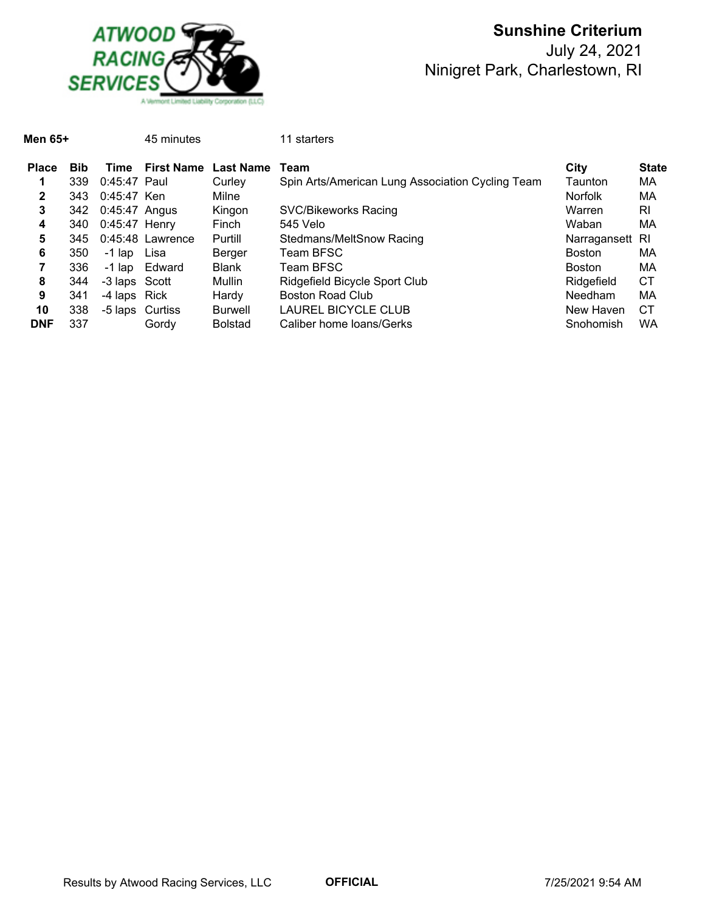

| Men 65+      |            |                 | 45 minutes         |                  | 11 starters                                      |                 |              |
|--------------|------------|-----------------|--------------------|------------------|--------------------------------------------------|-----------------|--------------|
| <b>Place</b> | <b>Bib</b> | Time            | <b>First Name</b>  | <b>Last Name</b> | Team                                             | City            | <b>State</b> |
|              | 339        | $0:45:47$ Paul  |                    | Curley           | Spin Arts/American Lung Association Cycling Team | Taunton         | МA           |
| 2            | 343        | 0:45:47 Ken     |                    | Milne            |                                                  | <b>Norfolk</b>  | МA           |
| 3            | 342        | $0:45:47$ Angus |                    | Kingon           | SVC/Bikeworks Racing                             | Warren          | RI           |
| 4            | 340        | $0:45:47$ Henry |                    | Finch            | 545 Velo                                         | Waban           | МA           |
| 5            | 345        |                 | $0:45:48$ Lawrence | Purtill          | Stedmans/MeltSnow Racing                         | Narragansett RI |              |
| 6            | 350        | -1 lap          | Lisa               | Berger           | Team BFSC                                        | <b>Boston</b>   | МA           |
|              | 336        |                 | -1 lap Edward      | <b>Blank</b>     | Team BFSC                                        | <b>Boston</b>   | МA           |
| 8            | 344        | -3 laps Scott   |                    | Mullin           | Ridgefield Bicycle Sport Club                    | Ridgefield      | <b>CT</b>    |
| 9            | 341        | -4 laps Rick    |                    | Hardy            | Boston Road Club                                 | Needham         | МA           |
| 10           | 338        |                 | -5 laps Curtiss    | Burwell          | LAUREL BICYCLE CLUB                              | New Haven       | СT           |
| <b>DNF</b>   | 337        |                 | Gordy              | <b>Bolstad</b>   | Caliber home loans/Gerks                         | Snohomish       | WA           |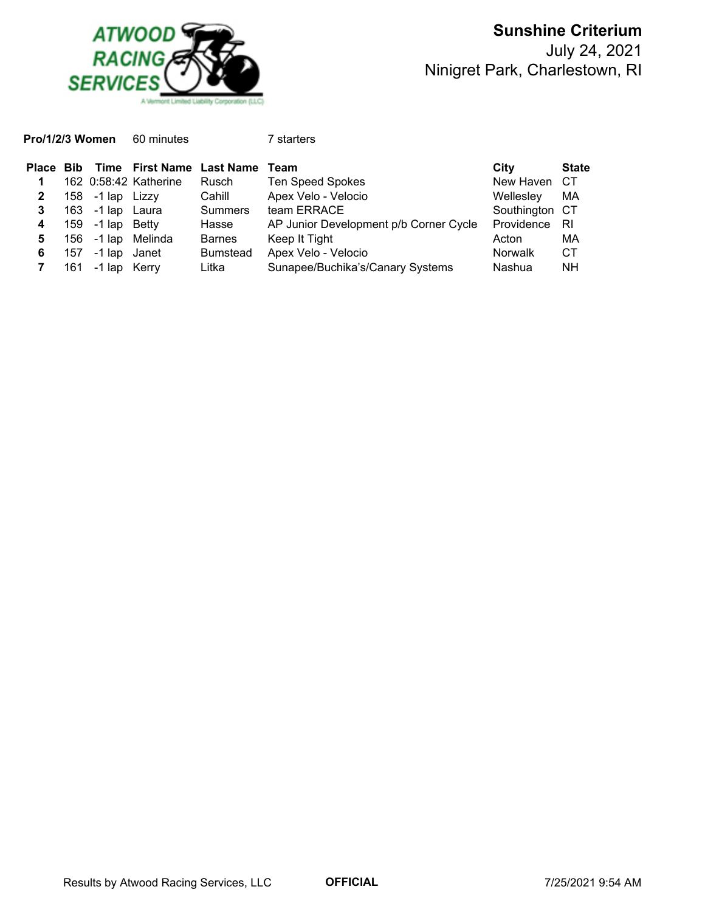

**Pro/1/2/3 Women** 60 minutes 7 starters

|                |     |                             |                       | Place Bib Time First Name Last Name Team |                                        | City           | <b>State</b> |
|----------------|-----|-----------------------------|-----------------------|------------------------------------------|----------------------------------------|----------------|--------------|
|                |     |                             | 162 0:58:42 Katherine | Rusch                                    | <b>Ten Speed Spokes</b>                | New Haven CT   |              |
| $\mathbf{2}$   |     | 158 -1 $\mathsf{lap}$ Lizzy |                       | Cahill                                   | Apex Velo - Velocio                    | Wellesley      | МA           |
| 3              |     | 163 -1 lap Laura            |                       | <b>Summers</b>                           | team ERRACE                            | Southington CT |              |
| $\overline{4}$ |     | 159 -1 lap Betty            |                       | Hasse                                    | AP Junior Development p/b Corner Cycle | Providence     | - RI         |
| 5              |     |                             | 156 -1 lap Melinda    | <b>Barnes</b>                            | Keep It Tight                          | Acton          | МA           |
| 6              | 157 | -1 lap Janet                |                       | <b>Bumstead</b>                          | Apex Velo - Velocio                    | <b>Norwalk</b> | <b>CT</b>    |
|                | 161 | -1 lap Kerry                |                       | Litka                                    | Sunapee/Buchika's/Canary Systems       | Nashua         | <b>NH</b>    |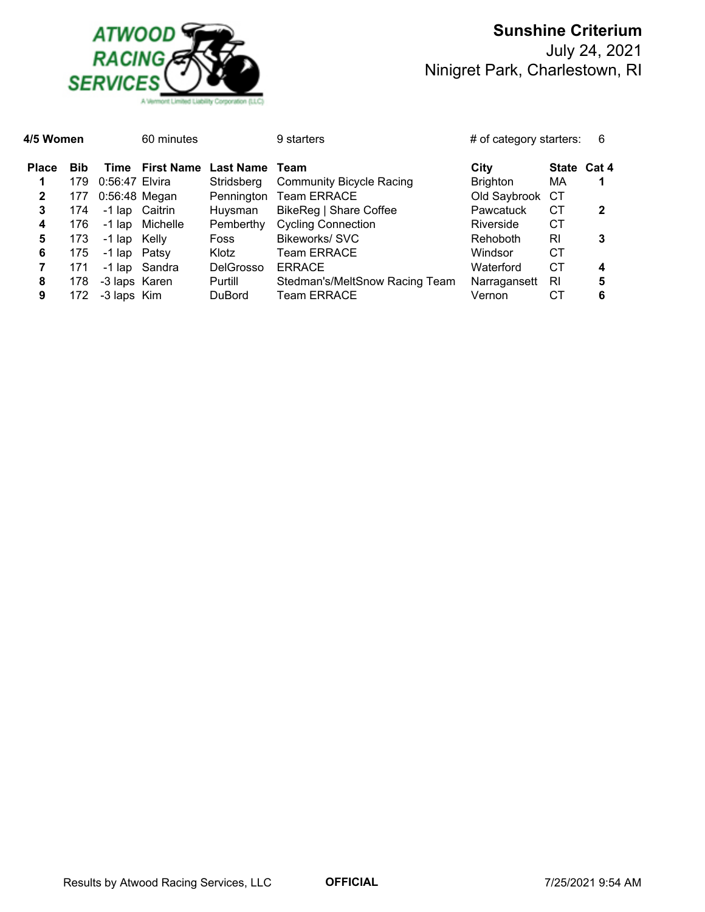

| 4/5 Women    |            |                 | 60 minutes     |                                | 9 starters                      | # of category starters: |             | 6 |
|--------------|------------|-----------------|----------------|--------------------------------|---------------------------------|-------------------------|-------------|---|
| <b>Place</b> | <b>Bib</b> |                 |                | Time First Name Last Name Team |                                 | City                    | State Cat 4 |   |
| 1            | 179        | 0:56:47 Elvira  |                | Stridsberg                     | <b>Community Bicycle Racing</b> | <b>Brighton</b>         | МA          |   |
| $\mathbf{2}$ | 177        | $0:56:48$ Megan |                | Pennington                     | <b>Team ERRACE</b>              | Old Saybrook            | СT          |   |
| 3            | 174        |                 | -1 lap Caitrin | Huysman                        | BikeReg   Share Coffee          | Pawcatuck               | CТ          | 2 |
| 4            | 176        | -1 lap          | Michelle       | Pemberthy                      | <b>Cycling Connection</b>       | Riverside               | CТ          |   |
| 5            | 173        | -1 lap Kelly    |                | <b>Foss</b>                    | <b>Bikeworks/SVC</b>            | Rehoboth                | RI          | 3 |
| 6            | 175        | -1 lap Patsy    |                | Klotz                          | <b>Team ERRACE</b>              | Windsor                 | СT          |   |
| 7            | 171        |                 | -1 lap Sandra  | <b>DelGrosso</b>               | <b>ERRACE</b>                   | Waterford               | CТ          | 4 |
| 8            | 178        | -3 laps Karen   |                | Purtill                        | Stedman's/MeltSnow Racing Team  | Narragansett            | RI          | 5 |
| 9            | 172        | -3 laps Kim     |                | <b>DuBord</b>                  | <b>Team ERRACE</b>              | Vernon                  | СT          | 6 |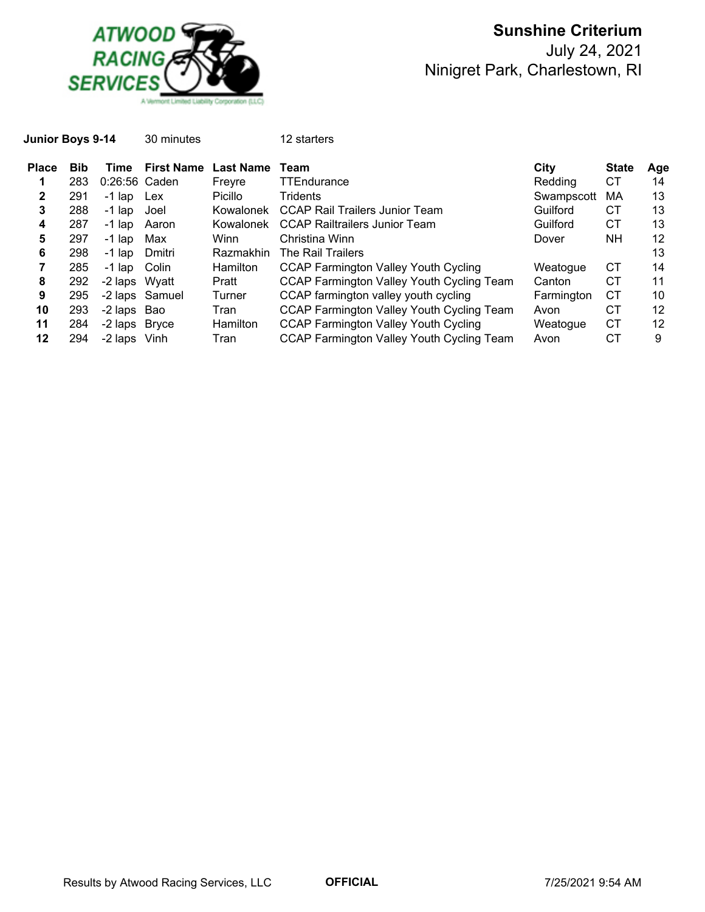

|            |          | 30 minutes        |                                                                                                                                         | 12 starters                                      |            |              |     |
|------------|----------|-------------------|-----------------------------------------------------------------------------------------------------------------------------------------|--------------------------------------------------|------------|--------------|-----|
| <b>Bib</b> | Time     | <b>First Name</b> | <b>Last Name</b>                                                                                                                        | Team                                             | City       | <b>State</b> | Age |
| 283        |          |                   | Freyre                                                                                                                                  | TTEndurance                                      | Redding    | СT           | 14  |
| 291        |          |                   | Picillo                                                                                                                                 | Tridents                                         | Swampscott | МA           | 13  |
| 288        | $-1$ lap | Joel              |                                                                                                                                         | CCAP Rail Trailers Junior Team                   | Guilford   | CТ           | 13  |
| 287        | -1 lap   |                   | Kowalonek                                                                                                                               | CCAP Railtrailers Junior Team                    | Guilford   | СT           | 13  |
| 297        | $-1$ lap | Max               | Winn                                                                                                                                    | Christina Winn                                   | Dover      | NΗ           | 12  |
| 298        | -1 lap   | Dmitri            | Razmakhin                                                                                                                               | The Rail Trailers                                |            |              | 13  |
| 285        |          |                   | <b>Hamilton</b>                                                                                                                         | <b>CCAP Farmington Valley Youth Cycling</b>      | Weatogue   | CТ           | 14  |
| 292        |          |                   | Pratt                                                                                                                                   | CCAP Farmington Valley Youth Cycling Team        | Canton     | СT           | 11  |
| 295        |          |                   | Turner                                                                                                                                  | CCAP farmington valley youth cycling             | Farmington | CТ           | 10  |
| 293        |          |                   | Tran                                                                                                                                    | CCAP Farmington Valley Youth Cycling Team        | Avon       | CТ           | 12  |
| 284        |          |                   | <b>Hamilton</b>                                                                                                                         | <b>CCAP Farmington Valley Youth Cycling</b>      | Weatogue   | СT           | 12  |
| 294        |          |                   | Tran                                                                                                                                    | <b>CCAP Farmington Valley Youth Cycling Team</b> | Avon       | СT           | 9   |
|            |          | Junior Boys 9-14  | 0:26:56 Caden<br>-1 lap Lex<br>Aaron<br>-1 lap Colin<br>-2 laps Wyatt<br>-2 laps Samuel<br>-2 laps Bao<br>-2 laps Bryce<br>-2 laps Vinh |                                                  | Kowalonek  |              |     |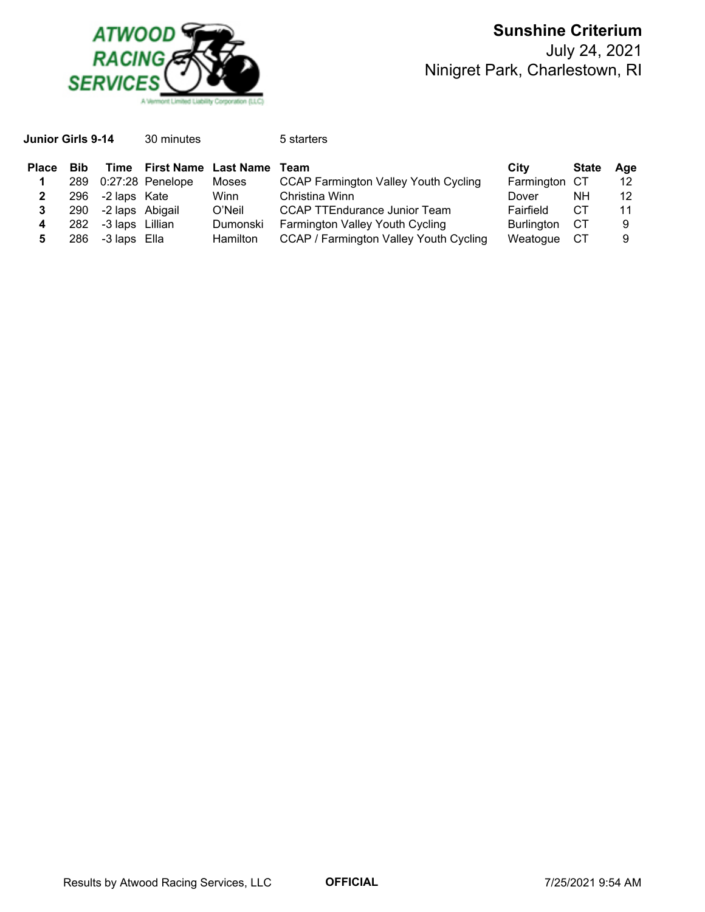

| Junior Girls 9-14 |            |                 | 30 minutes                  |                 | 5 starters                                  |                   |              |     |
|-------------------|------------|-----------------|-----------------------------|-----------------|---------------------------------------------|-------------------|--------------|-----|
| <b>Place</b>      | <b>Bib</b> | Time            | <b>First Name Last Name</b> |                 | Team                                        | City              | <b>State</b> | Age |
|                   |            |                 | 289 0:27:28 Penelope        | Moses           | <b>CCAP Farmington Valley Youth Cycling</b> | Farmington CT     |              | 12  |
|                   | 296        | -2 laps Kate    |                             | Winn            | Christina Winn                              | Dover             | NΗ           | 12  |
|                   | 290        | -2 laps Abigail |                             | O'Neil          | <b>CCAP TTEndurance Junior Team</b>         | Fairfield         | CТ           | 11  |
| 4                 | 282        | -3 laps Lillian |                             | Dumonski        | Farmington Valley Youth Cycling             | <b>Burlington</b> | CТ           | 9   |
|                   | 286        | -3 laps Ella    |                             | <b>Hamilton</b> | CCAP / Farmington Valley Youth Cycling      | Weatogue          | СT           | 9   |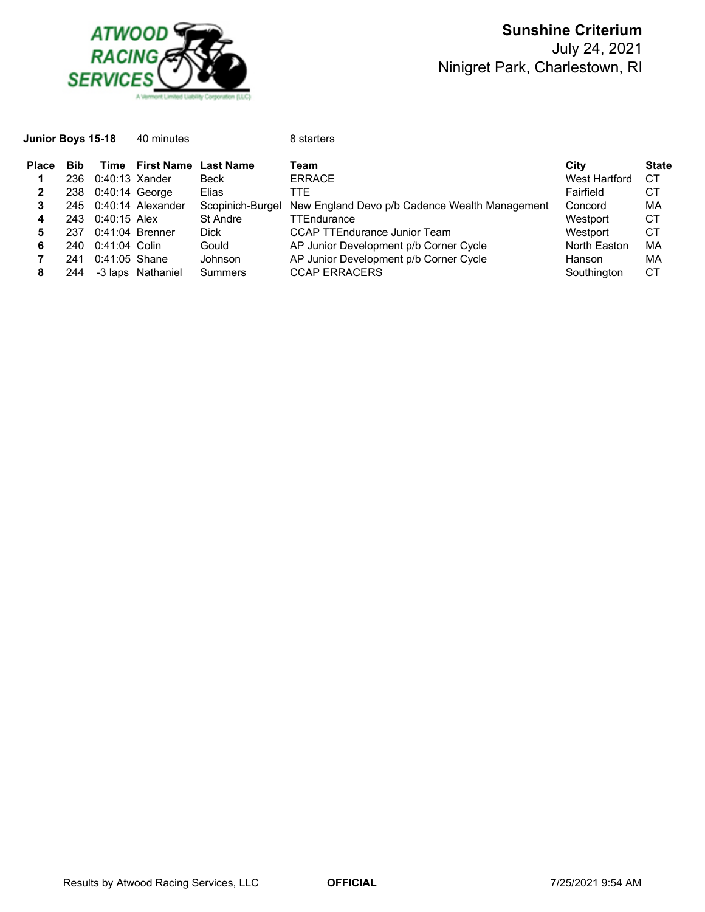

| <b>Junior Boys 15-18</b> |                    | 40 minutes |                                   | 8 starters            |      |                                  |  |
|--------------------------|--------------------|------------|-----------------------------------|-----------------------|------|----------------------------------|--|
| Place Bib                | 236 0:40:13 Xander |            | Time First Name Last Name<br>Beck | Team<br><b>ERRACE</b> | City | <b>State</b><br>West Hartford CT |  |

|   |     | 236 0:40:13 Xander |                       | Beck        | <b>ERRACE</b>                                                   | West Hartford | CТ |
|---|-----|--------------------|-----------------------|-------------|-----------------------------------------------------------------|---------------|----|
| 2 |     | 238 0:40:14 George |                       | Elias       | TTE.                                                            | Fairfield     | CТ |
|   |     |                    | 245 0:40:14 Alexander |             | Scopinich-Burgel New England Devo p/b Cadence Wealth Management | Concord       | МA |
| 4 |     | 243 0:40:15 Alex   |                       | St Andre    | <b>TTEndurance</b>                                              | Westport      | СT |
|   | 237 | $0:41:04$ Brenner  |                       | <b>Dick</b> | <b>CCAP TTEndurance Junior Team</b>                             | Westport      | CТ |
| 6 |     | 240 0:41:04 Colin  |                       | Gould       | AP Junior Development p/b Corner Cycle                          | North Easton  | МA |
|   | 241 | $0:41:05$ Shane    |                       | Johnson     | AP Junior Development p/b Corner Cycle                          | Hanson        | МA |
|   | 244 | -3 laps Nathaniel  |                       | Summers     | <b>CCAP ERRACERS</b>                                            | Southington   | СT |